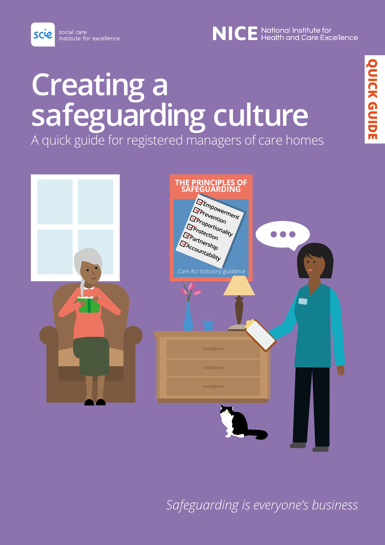social care institute for excellence

scie

**Creating a safeguarding culture**

A quick guide for registered managers of care homes



*Safeguarding is everyone's business*

NICE National Institute for<br>NICE Health and Care Excellence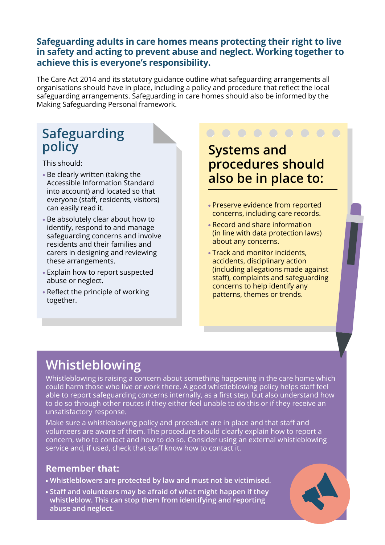#### **Safeguarding adults in care homes means protecting their right to live in safety and acting to prevent abuse and neglect. Working together to achieve this is everyone's responsibility.**

The Care Act 2014 and its statutory guidance outline what safeguarding arrangements all organisations should have in place, including a policy and procedure that reflect the local safeguarding arrangements. Safeguarding in care homes should also be informed by the Making Safeguarding Personal framework.

#### **Safeguarding policy**

This should:

- Be clearly written (taking the Accessible Information Standard into account) and located so that everyone (staff, residents, visitors) can easily read it.
- Be absolutely clear about how to identify, respond to and manage safeguarding concerns and involve residents and their families and carers in designing and reviewing these arrangements.
- Explain how to report suspected abuse or neglect.
- Reflect the principle of working together.

**Systems and procedures should also be in place to:**

- Preserve evidence from reported concerns, including care records.
- Record and share information (in line with data protection laws) about any concerns.
- Track and monitor incidents, accidents, disciplinary action (including allegations made against staff), complaints and safeguarding concerns to help identify any patterns, themes or trends.

#### **Whistleblowing**

Whistleblowing is raising a concern about something happening in the care home which could harm those who live or work there. A good whistleblowing policy helps staff feel able to report safeguarding concerns internally, as a first step, but also understand how to do so through other routes if they either feel unable to do this or if they receive an unsatisfactory response.

Make sure a whistleblowing policy and procedure are in place and that staff and volunteers are aware of them. The procedure should clearly explain how to report a concern, who to contact and how to do so. Consider using an external whistleblowing service and, if used, check that staff know how to contact it.

#### **Remember that:**

- **Whistleblowers are protected by law and must not be victimised.**
- **Staff and volunteers may be afraid of what might happen if they whistleblow. This can stop them from identifying and reporting abuse and neglect.**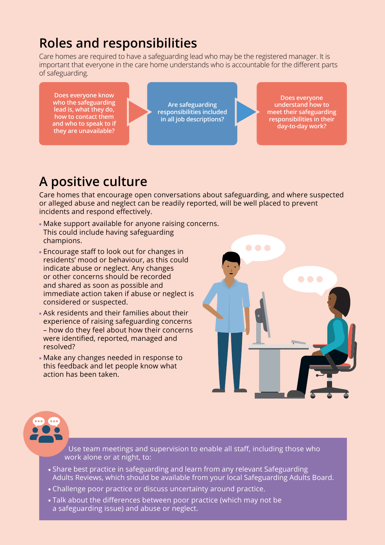### **Roles and responsibilities**

Care homes are required to have a safeguarding lead who may be the registered manager. It is important that everyone in the care home understands who is accountable for the different parts of safeguarding.

**Does everyone know who the safeguarding lead is, what they do, how to contact them and who to speak to if they are unavailable?**

**Are safeguarding responsibilities included in all job descriptions?**

**Does everyone understand how to meet their safeguarding responsibilities in their day-to-day work?**

### **A positive culture**

Care homes that encourage open conversations about safeguarding, and where suspected or alleged abuse and neglect can be readily reported, will be well placed to prevent incidents and respond effectively.

- Make support available for anyone raising concerns. This could include having safeguarding champions.
- Encourage staff to look out for changes in residents' mood or behaviour, as this could indicate abuse or neglect. Any changes or other concerns should be recorded and shared as soon as possible and immediate action taken if abuse or neglect is considered or suspected.
- Ask residents and their families about their experience of raising safeguarding concerns – how do they feel about how their concerns were identified, reported, managed and resolved?
- Make any changes needed in response to this feedback and let people know what action has been taken.



Use team meetings and supervision to enable all staff, including those who work alone or at night, to:

- Share best practice in safeguarding and learn from any relevant Safeguarding Adults Reviews, which should be available from your local Safeguarding Adults Board.
- Challenge poor practice or discuss uncertainty around practice.
- Talk about the differences between poor practice (which may not be a safeguarding issue) and abuse or neglect.